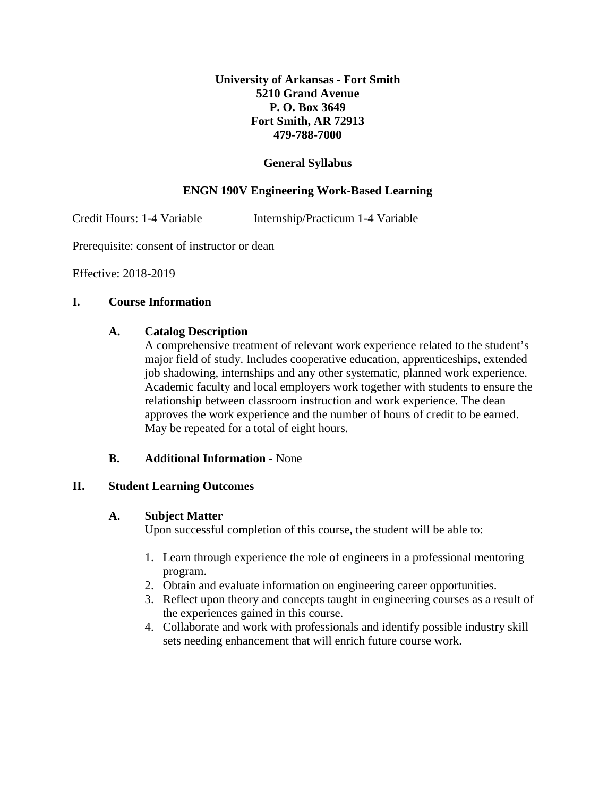## **University of Arkansas - Fort Smith 5210 Grand Avenue P. O. Box 3649 Fort Smith, AR 72913 479-788-7000**

## **General Syllabus**

# **ENGN 190V Engineering Work-Based Learning**

Credit Hours: 1-4 Variable Internship/Practicum 1-4 Variable

Prerequisite: consent of instructor or dean

Effective: 2018-2019

### **I. Course Information**

#### **A. Catalog Description**

A comprehensive treatment of relevant work experience related to the student's major field of study. Includes cooperative education, apprenticeships, extended job shadowing, internships and any other systematic, planned work experience. Academic faculty and local employers work together with students to ensure the relationship between classroom instruction and work experience. The dean approves the work experience and the number of hours of credit to be earned. May be repeated for a total of eight hours.

### **B. Additional Information -** None

### **II. Student Learning Outcomes**

#### **A. Subject Matter**

Upon successful completion of this course, the student will be able to:

- 1. Learn through experience the role of engineers in a professional mentoring program.
- 2. Obtain and evaluate information on engineering career opportunities.
- 3. Reflect upon theory and concepts taught in engineering courses as a result of the experiences gained in this course.
- 4. Collaborate and work with professionals and identify possible industry skill sets needing enhancement that will enrich future course work.